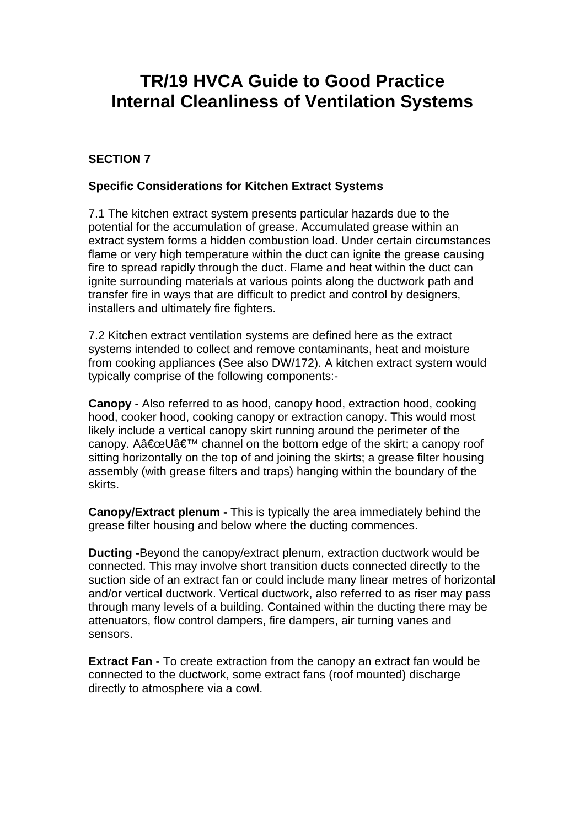# **TR/19 HVCA Guide to Good Practice Internal Cleanliness of Ventilation Systems**

# **SECTION 7**

## **Specific Considerations for Kitchen Extract Systems**

7.1 The kitchen extract system presents particular hazards due to the potential for the accumulation of grease. Accumulated grease within an extract system forms a hidden combustion load. Under certain circumstances flame or very high temperature within the duct can ignite the grease causing fire to spread rapidly through the duct. Flame and heat within the duct can ignite surrounding materials at various points along the ductwork path and transfer fire in ways that are difficult to predict and control by designers, installers and ultimately fire fighters.

7.2 Kitchen extract ventilation systems are defined here as the extract systems intended to collect and remove contaminants, heat and moisture from cooking appliances (See also DW/172). A kitchen extract system would typically comprise of the following components:-

**Canopy -** Also referred to as hood, canopy hood, extraction hood, cooking hood, cooker hood, cooking canopy or extraction canopy. This would most likely include a vertical canopy skirt running around the perimeter of the canopy. A $\hat{a} \in \mathbb{C}$ U $\hat{a} \in \mathbb{N}$  channel on the bottom edge of the skirt; a canopy roof sitting horizontally on the top of and joining the skirts; a grease filter housing assembly (with grease filters and traps) hanging within the boundary of the skirts.

**Canopy/Extract plenum -** This is typically the area immediately behind the grease filter housing and below where the ducting commences.

**Ducting -**Beyond the canopy/extract plenum, extraction ductwork would be connected. This may involve short transition ducts connected directly to the suction side of an extract fan or could include many linear metres of horizontal and/or vertical ductwork. Vertical ductwork, also referred to as riser may pass through many levels of a building. Contained within the ducting there may be attenuators, flow control dampers, fire dampers, air turning vanes and sensors.

**Extract Fan -** To create extraction from the canopy an extract fan would be connected to the ductwork, some extract fans (roof mounted) discharge directly to atmosphere via a cowl.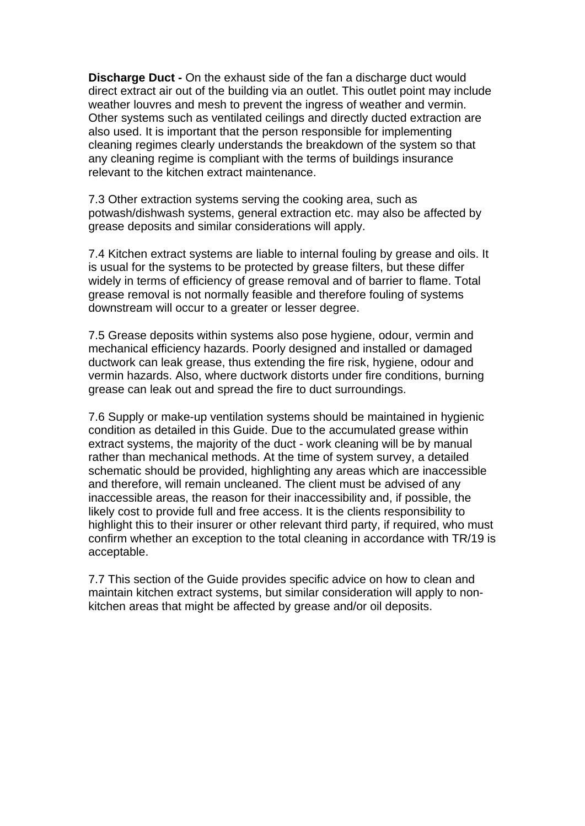**Discharge Duct -** On the exhaust side of the fan a discharge duct would direct extract air out of the building via an outlet. This outlet point may include weather louvres and mesh to prevent the ingress of weather and vermin. Other systems such as ventilated ceilings and directly ducted extraction are also used. It is important that the person responsible for implementing cleaning regimes clearly understands the breakdown of the system so that any cleaning regime is compliant with the terms of buildings insurance relevant to the kitchen extract maintenance.

7.3 Other extraction systems serving the cooking area, such as potwash/dishwash systems, general extraction etc. may also be affected by grease deposits and similar considerations will apply.

7.4 Kitchen extract systems are liable to internal fouling by grease and oils. It is usual for the systems to be protected by grease filters, but these differ widely in terms of efficiency of grease removal and of barrier to flame. Total grease removal is not normally feasible and therefore fouling of systems downstream will occur to a greater or lesser degree.

7.5 Grease deposits within systems also pose hygiene, odour, vermin and mechanical efficiency hazards. Poorly designed and installed or damaged ductwork can leak grease, thus extending the fire risk, hygiene, odour and vermin hazards. Also, where ductwork distorts under fire conditions, burning grease can leak out and spread the fire to duct surroundings.

7.6 Supply or make-up ventilation systems should be maintained in hygienic condition as detailed in this Guide. Due to the accumulated grease within extract systems, the majority of the duct - work cleaning will be by manual rather than mechanical methods. At the time of system survey, a detailed schematic should be provided, highlighting any areas which are inaccessible and therefore, will remain uncleaned. The client must be advised of any inaccessible areas, the reason for their inaccessibility and, if possible, the likely cost to provide full and free access. It is the clients responsibility to highlight this to their insurer or other relevant third party, if required, who must confirm whether an exception to the total cleaning in accordance with TR/19 is acceptable.

7.7 This section of the Guide provides specific advice on how to clean and maintain kitchen extract systems, but similar consideration will apply to nonkitchen areas that might be affected by grease and/or oil deposits.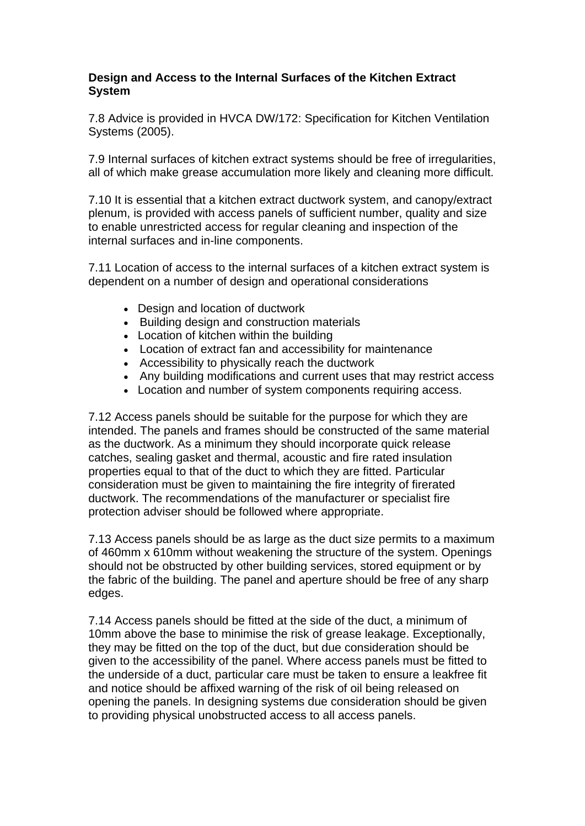## **Design and Access to the Internal Surfaces of the Kitchen Extract System**

7.8 Advice is provided in HVCA DW/172: Specification for Kitchen Ventilation Systems (2005).

7.9 Internal surfaces of kitchen extract systems should be free of irregularities, all of which make grease accumulation more likely and cleaning more difficult.

7.10 It is essential that a kitchen extract ductwork system, and canopy/extract plenum, is provided with access panels of sufficient number, quality and size to enable unrestricted access for regular cleaning and inspection of the internal surfaces and in-line components.

7.11 Location of access to the internal surfaces of a kitchen extract system is dependent on a number of design and operational considerations

- Design and location of ductwork
- Building design and construction materials
- Location of kitchen within the building
- Location of extract fan and accessibility for maintenance
- Accessibility to physically reach the ductwork
- Any building modifications and current uses that may restrict access
- Location and number of system components requiring access.

7.12 Access panels should be suitable for the purpose for which they are intended. The panels and frames should be constructed of the same material as the ductwork. As a minimum they should incorporate quick release catches, sealing gasket and thermal, acoustic and fire rated insulation properties equal to that of the duct to which they are fitted. Particular consideration must be given to maintaining the fire integrity of firerated ductwork. The recommendations of the manufacturer or specialist fire protection adviser should be followed where appropriate.

7.13 Access panels should be as large as the duct size permits to a maximum of 460mm x 610mm without weakening the structure of the system. Openings should not be obstructed by other building services, stored equipment or by the fabric of the building. The panel and aperture should be free of any sharp edges.

7.14 Access panels should be fitted at the side of the duct, a minimum of 10mm above the base to minimise the risk of grease leakage. Exceptionally, they may be fitted on the top of the duct, but due consideration should be given to the accessibility of the panel. Where access panels must be fitted to the underside of a duct, particular care must be taken to ensure a leakfree fit and notice should be affixed warning of the risk of oil being released on opening the panels. In designing systems due consideration should be given to providing physical unobstructed access to all access panels.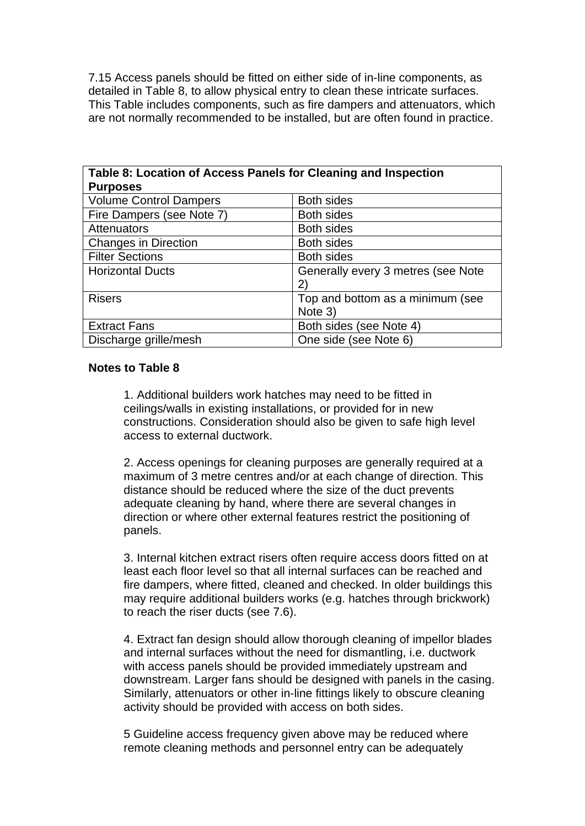7.15 Access panels should be fitted on either side of in-line components, as detailed in Table 8, to allow physical entry to clean these intricate surfaces. This Table includes components, such as fire dampers and attenuators, which are not normally recommended to be installed, but are often found in practice.

| Table 8: Location of Access Panels for Cleaning and Inspection |                                              |  |  |
|----------------------------------------------------------------|----------------------------------------------|--|--|
| <b>Purposes</b>                                                |                                              |  |  |
| <b>Volume Control Dampers</b>                                  | <b>Both sides</b>                            |  |  |
| Fire Dampers (see Note 7)                                      | <b>Both sides</b>                            |  |  |
| Attenuators                                                    | <b>Both sides</b>                            |  |  |
| <b>Changes in Direction</b>                                    | <b>Both sides</b>                            |  |  |
| <b>Filter Sections</b>                                         | <b>Both sides</b>                            |  |  |
| <b>Horizontal Ducts</b>                                        | Generally every 3 metres (see Note           |  |  |
|                                                                | $\mathbf{2}^{\mathsf{\scriptscriptstyle C}}$ |  |  |
| <b>Risers</b>                                                  | Top and bottom as a minimum (see             |  |  |
|                                                                | Note 3)                                      |  |  |
| <b>Extract Fans</b>                                            | Both sides (see Note 4)                      |  |  |
| Discharge grille/mesh                                          | One side (see Note 6)                        |  |  |

### **Notes to Table 8**

1. Additional builders work hatches may need to be fitted in ceilings/walls in existing installations, or provided for in new constructions. Consideration should also be given to safe high level access to external ductwork.

2. Access openings for cleaning purposes are generally required at a maximum of 3 metre centres and/or at each change of direction. This distance should be reduced where the size of the duct prevents adequate cleaning by hand, where there are several changes in direction or where other external features restrict the positioning of panels.

3. Internal kitchen extract risers often require access doors fitted on at least each floor level so that all internal surfaces can be reached and fire dampers, where fitted, cleaned and checked. In older buildings this may require additional builders works (e.g. hatches through brickwork) to reach the riser ducts (see 7.6).

4. Extract fan design should allow thorough cleaning of impellor blades and internal surfaces without the need for dismantling, i.e. ductwork with access panels should be provided immediately upstream and downstream. Larger fans should be designed with panels in the casing. Similarly, attenuators or other in-line fittings likely to obscure cleaning activity should be provided with access on both sides.

5 Guideline access frequency given above may be reduced where remote cleaning methods and personnel entry can be adequately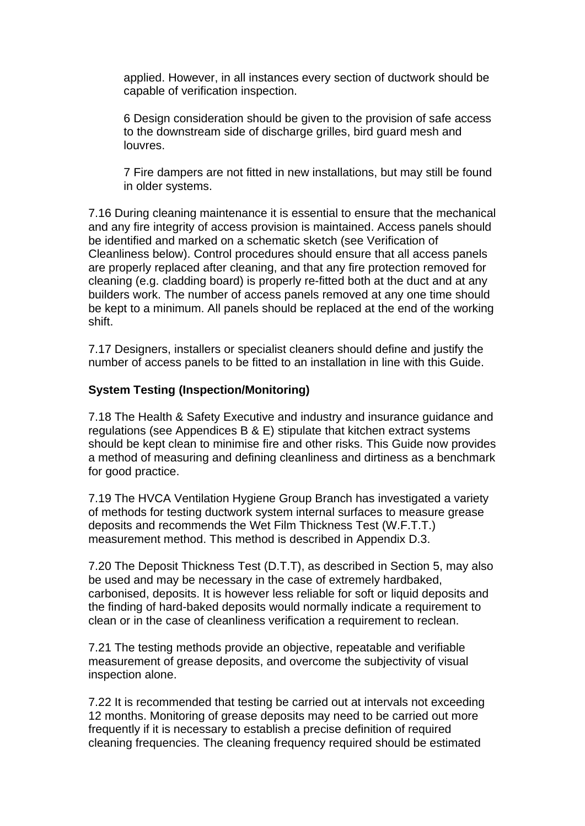applied. However, in all instances every section of ductwork should be capable of verification inspection.

6 Design consideration should be given to the provision of safe access to the downstream side of discharge grilles, bird guard mesh and louvres.

7 Fire dampers are not fitted in new installations, but may still be found in older systems.

7.16 During cleaning maintenance it is essential to ensure that the mechanical and any fire integrity of access provision is maintained. Access panels should be identified and marked on a schematic sketch (see Verification of Cleanliness below). Control procedures should ensure that all access panels are properly replaced after cleaning, and that any fire protection removed for cleaning (e.g. cladding board) is properly re-fitted both at the duct and at any builders work. The number of access panels removed at any one time should be kept to a minimum. All panels should be replaced at the end of the working shift.

7.17 Designers, installers or specialist cleaners should define and justify the number of access panels to be fitted to an installation in line with this Guide.

## **System Testing (Inspection/Monitoring)**

7.18 The Health & Safety Executive and industry and insurance guidance and regulations (see Appendices B & E) stipulate that kitchen extract systems should be kept clean to minimise fire and other risks. This Guide now provides a method of measuring and defining cleanliness and dirtiness as a benchmark for good practice.

7.19 The HVCA Ventilation Hygiene Group Branch has investigated a variety of methods for testing ductwork system internal surfaces to measure grease deposits and recommends the Wet Film Thickness Test (W.F.T.T.) measurement method. This method is described in Appendix D.3.

7.20 The Deposit Thickness Test (D.T.T), as described in Section 5, may also be used and may be necessary in the case of extremely hardbaked, carbonised, deposits. It is however less reliable for soft or liquid deposits and the finding of hard-baked deposits would normally indicate a requirement to clean or in the case of cleanliness verification a requirement to reclean.

7.21 The testing methods provide an objective, repeatable and verifiable measurement of grease deposits, and overcome the subjectivity of visual inspection alone.

7.22 It is recommended that testing be carried out at intervals not exceeding 12 months. Monitoring of grease deposits may need to be carried out more frequently if it is necessary to establish a precise definition of required cleaning frequencies. The cleaning frequency required should be estimated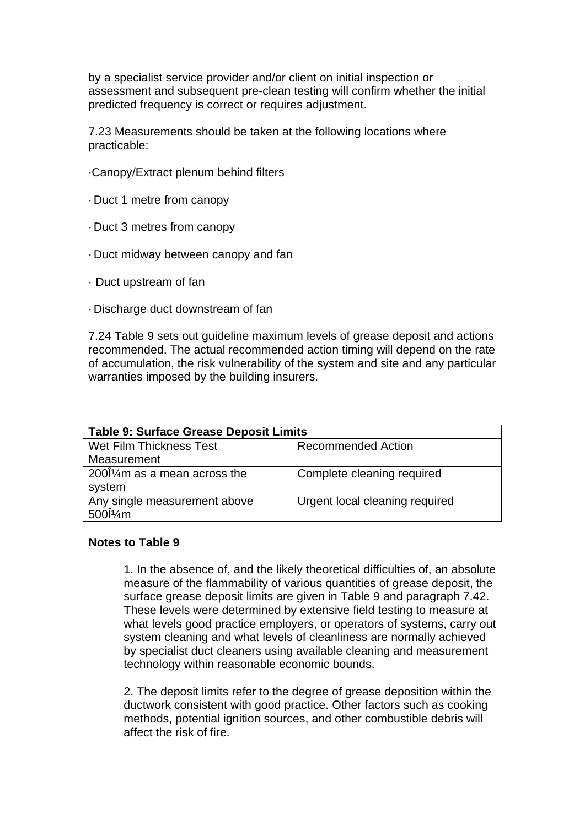by a specialist service provider and/or client on initial inspection or assessment and subsequent pre-clean testing will confirm whether the initial predicted frequency is correct or requires adjustment.

7.23 Measurements should be taken at the following locations where practicable:

- ·Canopy/Extract plenum behind filters
- · Duct 1 metre from canopy
- · Duct 3 metres from canopy
- · Duct midway between canopy and fan
- · Duct upstream of fan
- · Discharge duct downstream of fan

7.24 Table 9 sets out guideline maximum levels of grease deposit and actions recommended. The actual recommended action timing will depend on the rate of accumulation, the risk vulnerability of the system and site and any particular warranties imposed by the building insurers.

| <b>Table 9: Surface Grease Deposit Limits</b> |                                |  |  |
|-----------------------------------------------|--------------------------------|--|--|
| Wet Film Thickness Test                       | <b>Recommended Action</b>      |  |  |
| Measurement                                   |                                |  |  |
| $200\frac{1}{4}$ m as a mean across the       | Complete cleaning required     |  |  |
| system                                        |                                |  |  |
| Any single measurement above                  | Urgent local cleaning required |  |  |
| $500\frac{\text{m}}{\text{m}}$                |                                |  |  |

#### **Notes to Table 9**

1. In the absence of, and the likely theoretical difficulties of, an absolute measure of the flammability of various quantities of grease deposit, the surface grease deposit limits are given in Table 9 and paragraph 7.42. These levels were determined by extensive field testing to measure at what levels good practice employers, or operators of systems, carry out system cleaning and what levels of cleanliness are normally achieved by specialist duct cleaners using available cleaning and measurement technology within reasonable economic bounds.

2. The deposit limits refer to the degree of grease deposition within the ductwork consistent with good practice. Other factors such as cooking methods, potential ignition sources, and other combustible debris will affect the risk of fire.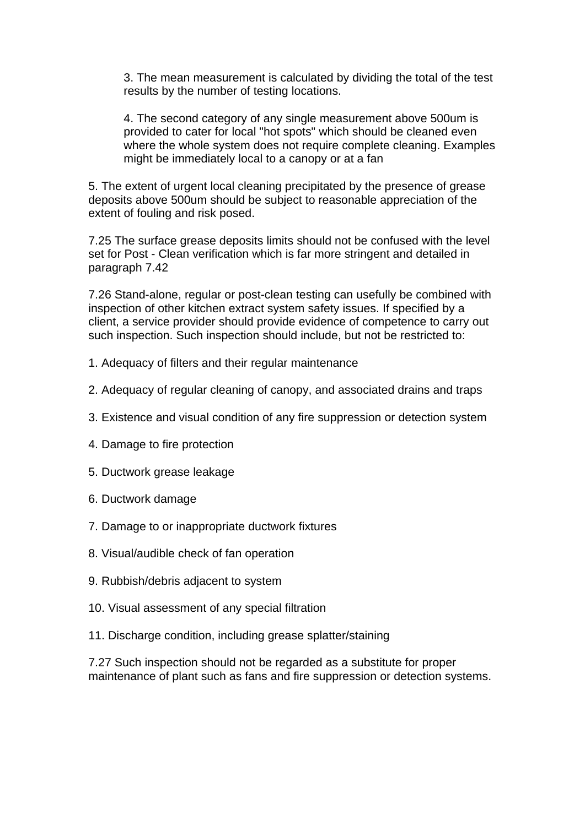3. The mean measurement is calculated by dividing the total of the test results by the number of testing locations.

4. The second category of any single measurement above 500um is provided to cater for local "hot spots" which should be cleaned even where the whole system does not require complete cleaning. Examples might be immediately local to a canopy or at a fan

5. The extent of urgent local cleaning precipitated by the presence of grease deposits above 500um should be subject to reasonable appreciation of the extent of fouling and risk posed.

7.25 The surface grease deposits limits should not be confused with the level set for Post - Clean verification which is far more stringent and detailed in paragraph 7.42

7.26 Stand-alone, regular or post-clean testing can usefully be combined with inspection of other kitchen extract system safety issues. If specified by a client, a service provider should provide evidence of competence to carry out such inspection. Such inspection should include, but not be restricted to:

- 1. Adequacy of filters and their regular maintenance
- 2. Adequacy of regular cleaning of canopy, and associated drains and traps
- 3. Existence and visual condition of any fire suppression or detection system
- 4. Damage to fire protection
- 5. Ductwork grease leakage
- 6. Ductwork damage
- 7. Damage to or inappropriate ductwork fixtures
- 8. Visual/audible check of fan operation
- 9. Rubbish/debris adjacent to system
- 10. Visual assessment of any special filtration
- 11. Discharge condition, including grease splatter/staining

7.27 Such inspection should not be regarded as a substitute for proper maintenance of plant such as fans and fire suppression or detection systems.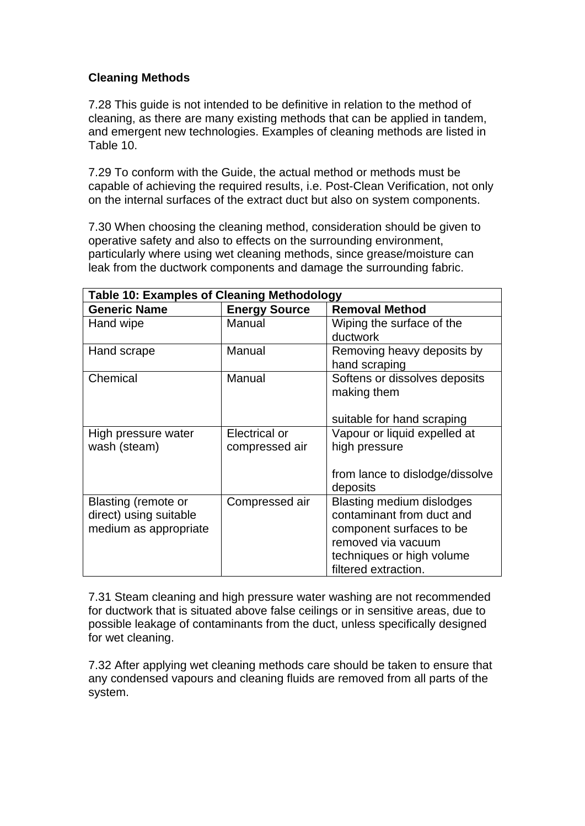## **Cleaning Methods**

7.28 This guide is not intended to be definitive in relation to the method of cleaning, as there are many existing methods that can be applied in tandem, and emergent new technologies. Examples of cleaning methods are listed in Table 10.

7.29 To conform with the Guide, the actual method or methods must be capable of achieving the required results, i.e. Post-Clean Verification, not only on the internal surfaces of the extract duct but also on system components.

7.30 When choosing the cleaning method, consideration should be given to operative safety and also to effects on the surrounding environment, particularly where using wet cleaning methods, since grease/moisture can leak from the ductwork components and damage the surrounding fabric.

| <b>Table 10: Examples of Cleaning Methodology</b> |                      |                                  |  |  |
|---------------------------------------------------|----------------------|----------------------------------|--|--|
| <b>Generic Name</b>                               | <b>Energy Source</b> | <b>Removal Method</b>            |  |  |
| Hand wipe                                         | Manual               | Wiping the surface of the        |  |  |
|                                                   |                      | ductwork                         |  |  |
| Hand scrape                                       | Manual               | Removing heavy deposits by       |  |  |
|                                                   |                      | hand scraping                    |  |  |
| Chemical                                          | Manual               | Softens or dissolves deposits    |  |  |
|                                                   |                      | making them                      |  |  |
|                                                   |                      |                                  |  |  |
|                                                   |                      | suitable for hand scraping       |  |  |
| High pressure water                               | Electrical or        | Vapour or liquid expelled at     |  |  |
| wash (steam)                                      | compressed air       | high pressure                    |  |  |
|                                                   |                      |                                  |  |  |
|                                                   |                      | from lance to dislodge/dissolve  |  |  |
|                                                   |                      | deposits                         |  |  |
| Blasting (remote or                               | Compressed air       | <b>Blasting medium dislodges</b> |  |  |
| direct) using suitable                            |                      | contaminant from duct and        |  |  |
| medium as appropriate                             |                      | component surfaces to be         |  |  |
|                                                   |                      | removed via vacuum               |  |  |
|                                                   |                      | techniques or high volume        |  |  |
|                                                   |                      | filtered extraction.             |  |  |

7.31 Steam cleaning and high pressure water washing are not recommended for ductwork that is situated above false ceilings or in sensitive areas, due to possible leakage of contaminants from the duct, unless specifically designed for wet cleaning.

7.32 After applying wet cleaning methods care should be taken to ensure that any condensed vapours and cleaning fluids are removed from all parts of the system.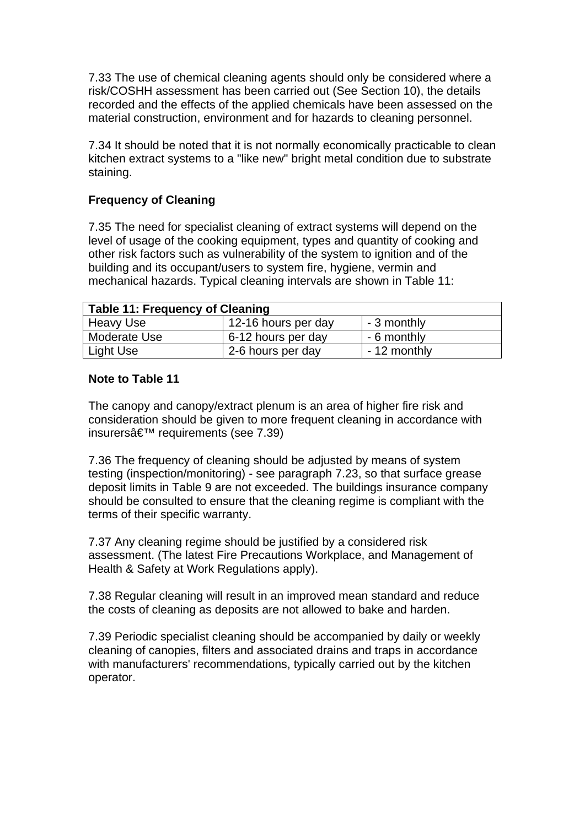7.33 The use of chemical cleaning agents should only be considered where a risk/COSHH assessment has been carried out (See Section 10), the details recorded and the effects of the applied chemicals have been assessed on the material construction, environment and for hazards to cleaning personnel.

7.34 It should be noted that it is not normally economically practicable to clean kitchen extract systems to a "like new" bright metal condition due to substrate staining.

## **Frequency of Cleaning**

7.35 The need for specialist cleaning of extract systems will depend on the level of usage of the cooking equipment, types and quantity of cooking and other risk factors such as vulnerability of the system to ignition and of the building and its occupant/users to system fire, hygiene, vermin and mechanical hazards. Typical cleaning intervals are shown in Table 11:

| <b>Table 11: Frequency of Cleaning</b> |                     |              |  |
|----------------------------------------|---------------------|--------------|--|
| Heavy Use                              | 12-16 hours per day | - 3 monthly  |  |
| <b>Moderate Use</b>                    | 6-12 hours per day  | - 6 monthly  |  |
| Light Use                              | 2-6 hours per day   | - 12 monthly |  |

## **Note to Table 11**

The canopy and canopy/extract plenum is an area of higher fire risk and consideration should be given to more frequent cleaning in accordance with insurers $\hat{\mathbf{a}} \in \mathbb{R}^m$  requirements (see 7.39)

7.36 The frequency of cleaning should be adjusted by means of system testing (inspection/monitoring) - see paragraph 7.23, so that surface grease deposit limits in Table 9 are not exceeded. The buildings insurance company should be consulted to ensure that the cleaning regime is compliant with the terms of their specific warranty.

7.37 Any cleaning regime should be justified by a considered risk assessment. (The latest Fire Precautions Workplace, and Management of Health & Safety at Work Regulations apply).

7.38 Regular cleaning will result in an improved mean standard and reduce the costs of cleaning as deposits are not allowed to bake and harden.

7.39 Periodic specialist cleaning should be accompanied by daily or weekly cleaning of canopies, filters and associated drains and traps in accordance with manufacturers' recommendations, typically carried out by the kitchen operator.